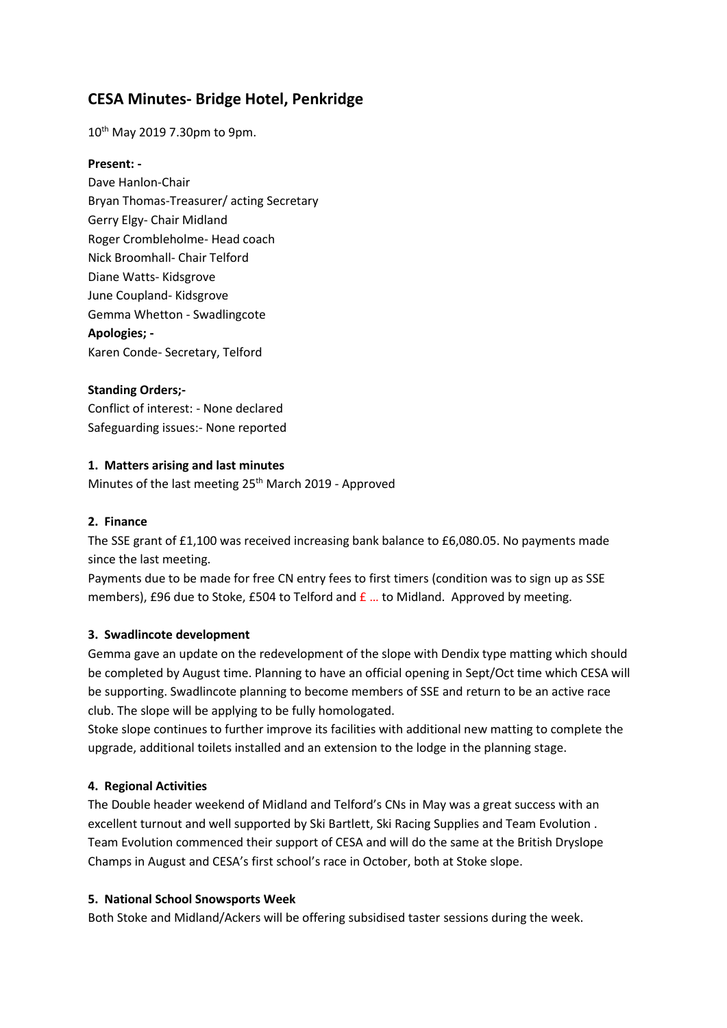# **CESA Minutes- Bridge Hotel, Penkridge**

10th May 2019 7.30pm to 9pm.

#### **Present: -**

Dave Hanlon-Chair Bryan Thomas-Treasurer/ acting Secretary Gerry Elgy- Chair Midland Roger Crombleholme- Head coach Nick Broomhall- Chair Telford Diane Watts- Kidsgrove June Coupland- Kidsgrove Gemma Whetton - Swadlingcote **Apologies; -** Karen Conde- Secretary, Telford

## **Standing Orders;-**

Conflict of interest: - None declared Safeguarding issues:- None reported

#### **1. Matters arising and last minutes**

Minutes of the last meeting 25<sup>th</sup> March 2019 - Approved

#### **2. Finance**

The SSE grant of £1,100 was received increasing bank balance to £6,080.05. No payments made since the last meeting.

Payments due to be made for free CN entry fees to first timers (condition was to sign up as SSE members), £96 due to Stoke, £504 to Telford and  $f{E}$  ... to Midland. Approved by meeting.

## **3. Swadlincote development**

Gemma gave an update on the redevelopment of the slope with Dendix type matting which should be completed by August time. Planning to have an official opening in Sept/Oct time which CESA will be supporting. Swadlincote planning to become members of SSE and return to be an active race club. The slope will be applying to be fully homologated.

Stoke slope continues to further improve its facilities with additional new matting to complete the upgrade, additional toilets installed and an extension to the lodge in the planning stage.

## **4. Regional Activities**

The Double header weekend of Midland and Telford's CNs in May was a great success with an excellent turnout and well supported by Ski Bartlett, Ski Racing Supplies and Team Evolution . Team Evolution commenced their support of CESA and will do the same at the British Dryslope Champs in August and CESA's first school's race in October, both at Stoke slope.

#### **5. National School Snowsports Week**

Both Stoke and Midland/Ackers will be offering subsidised taster sessions during the week.